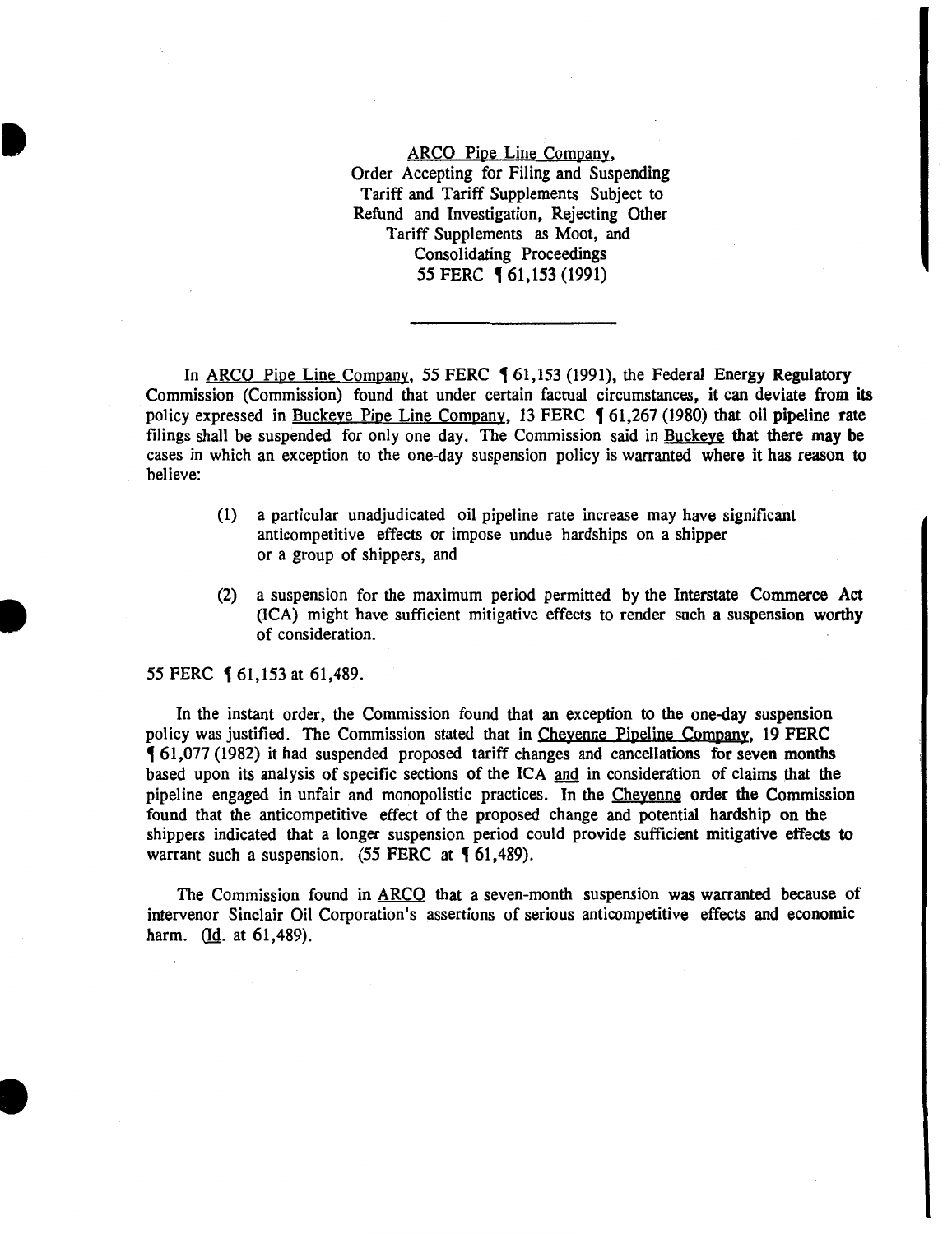ARCO Pipe Line Company, Order Accepting for Filing and Suspending Tariff and Tariff Supplements Subject to Refund and Investigation, Rejecting Other Tariff Supplements as Moot, and Consolidating Proceedings 55 FERC **[61,153 (1991)** 

In ARCO Pipe Line Company, 55 FERC  $\lbrace 61, 153 \ (1991) \rbrace$ , the Federal Energy Regulatory Commission (Commission) found that under certain factual circumstances, it can deviate from its policy expressed in Buckeye Pipe Line Company, 13 FERC  $\P$  61,267 (1980) that oil pipeline rate filings shall be suspended for only one day. The Commission said in Buckeye that there may be cases in which an exception to the one-day suspension policy is warranted where it has reason to believe:

- (1) a particular unadjudicated oil pipeline rate increase may have significant anticompetitive effects or impose undue hardships on a shipper or a group of shippers, and
- (2) a suspension for the maximum period permitted by the Interstate Commerce Act (ICA) might have sufficient mitigative effects to render such a suspension worthy of consideration.

55 FERC **161,153 at 61,489.** 

**•** 

I

I

In the instant order, the Commission found that an exception to the one-day suspension policy was justified. The Commission stated that in Cheyenne Pipeline Company, 19 FERC , 61,077 (1982) it had suspended proposed tariff changes and cancellations for seven months based upon its analysis of specific sections of the ICA and in consideration of claims that the pipeline engaged in unfair and monopolistic practices. In the Cheyenne order the Commission found that the anticompetitive effect of the proposed change and potential hardship on the shippers indicated that a longer suspension period could provide sufficient mitigative effects to warrant such a suspension.  $(55$  FERC at  $\{61,489\}$ .

The Commission found in ARCO that a seven-month suspension was warranted because of intervenor Sinclair Oil Corporation's assertions of serious anticompetitive effects and economic harm. (Id. at 61,489).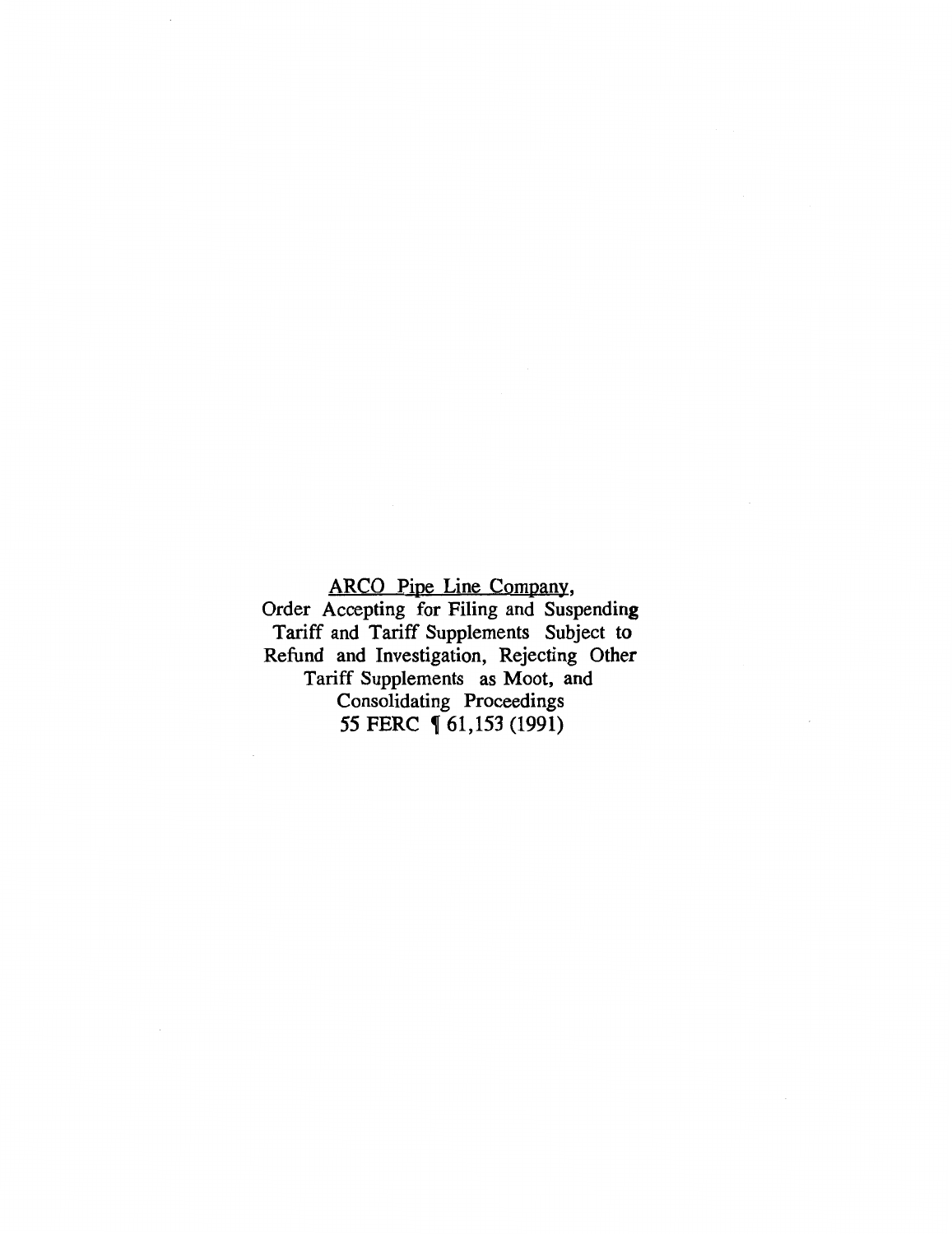# ARCO Pipe Line Company,

Order Accepting for Filing and Suspending Tariff and Tariff Supplements Subject to Refund and Investigation, Rejecting Other Tariff Supplements as Moot, and Consolidating Proceedings *55* FERC , 61,153 (1991)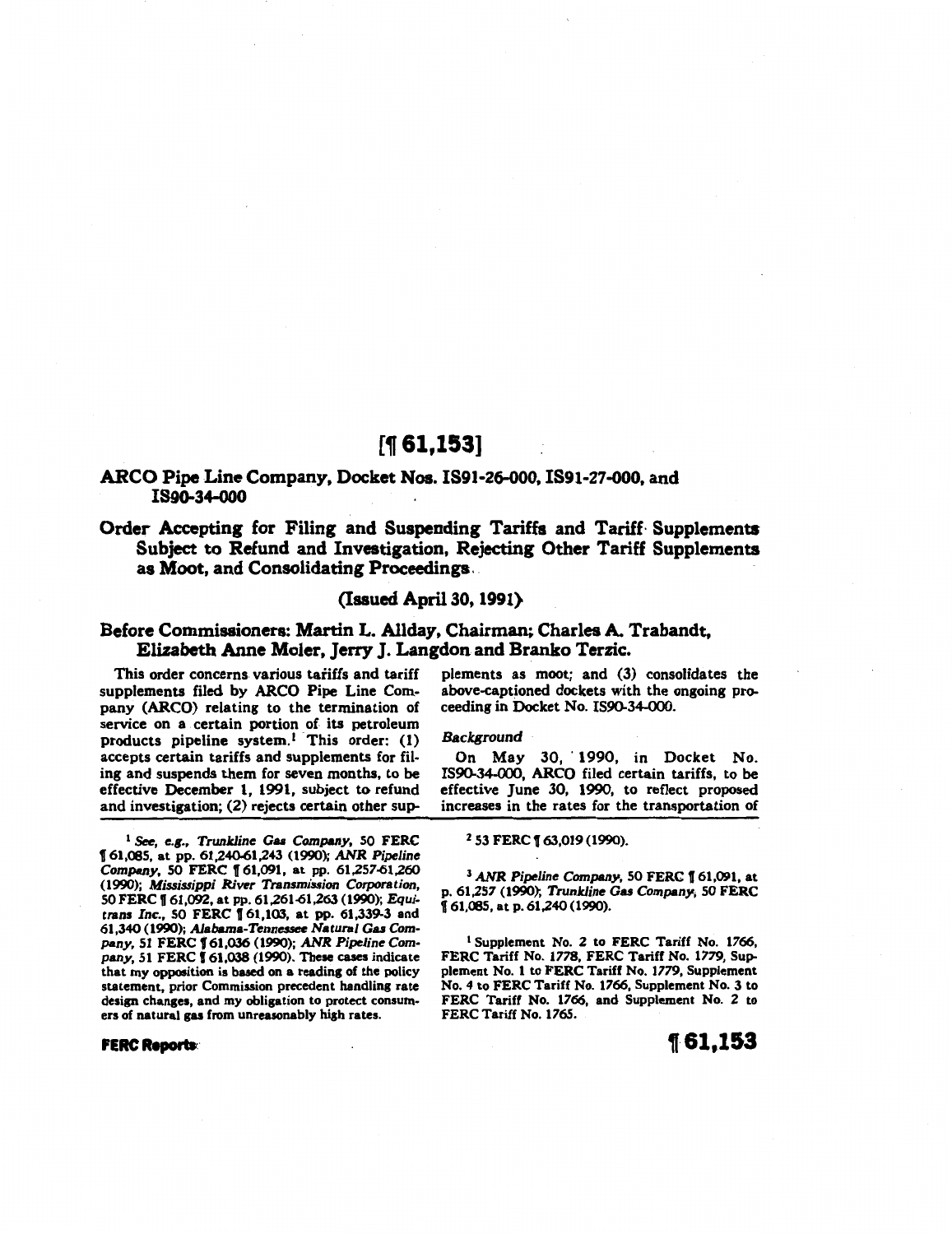# [, **61,153]**

### ARCO Pipe Line Company, Docket Nos. IS91-26-000, IS91-27-000, and IS9Q-34-000

## Order Accepting for Filing and Suspending Tariffs and Tariff· Supplements Subject to Refund and Investigation, Rejecting Other Tariff Supplements as Moot, and Consolidating Proceedings.

### (Issued April30, 1991)

### Before Commissioners: Martin L. Allday, Chairman; Charles A. Trabandt, Elizabeth Anne Moler, Jerry J. Langdon and Branko Terzic.

This order concerns various tariffs and tariff supplements filed by ARCO Pipe Line Company (ARCO) relating to the termination of service on a certain portion of its petroleum products pipeline system.<sup>1</sup> This order: (1) accepts certain tariffs and supplements for filing and suspends them for seven months, to be effective December 1, 1991, subject to refund and investigation; (2) rejects certain other sup-

<sup>1</sup> See, e.g., Trunkline Gas Company, 50 FERC 161,085, at pp. 61,240-61,243 (1990); *ANR* Pipeline *Company,* SO FERC f 61,091, at pp. 61,257-61,260 (1990); *Mississippi River Transmission Corporation,*  SO FERC 161,092, at pp. 61,261-61,263 (1990); *Equi*trans *Inc.,* 50 FERC f 61,103, at pp. 61,339-3 and 61,340 (1990); Alabama-Tennessee *Natural* Gas *Company,* 51 FERC f 61,036 (1990); *ANR Pipeline Company,* 51 FERC f 61,038 (1990). These cases indicate that my opposition is based on a reading of the policy statement, prior Commission precedent handling rate design changes, and my obligation to protect consumers of natural gas from unreasonably high rates.

#### **FERC Reports:**

plements as moot; and (3) consolidates the above-captioned dockets with the ongoing proceeding in Docket No. 1590-34-000.

#### **Background**

On May 30, 1990, in Docket No. 1590-34-000, ARCO filed certain tariffs, to be effective June 30, 1990, to reflect proposed increases in the rates for the transportation of

2 53 FERC f 63,019 (1990).

<sup>3</sup> ANR Pipeline Company, 50 FERC 161,091, at p. 61,257 (1990); *Trunkline* Gas *Company;* SO FERC f 61,085, at p. 61,240 (1990).

<sup>1</sup> Supplement No. 2 to FERC Tariff No. 1766, FERC Tariff No. 1778, FERC Tariff No. 1779, Supplement No. 1 to FERC Tariff No. 1779, Supplement No. 4 to FERC Tariff No. 1766, Supplement No. 3 to FERC Tariff No. 1766, and Supplement No. 2 to FERC Tariff No. 1765.

**t61,153**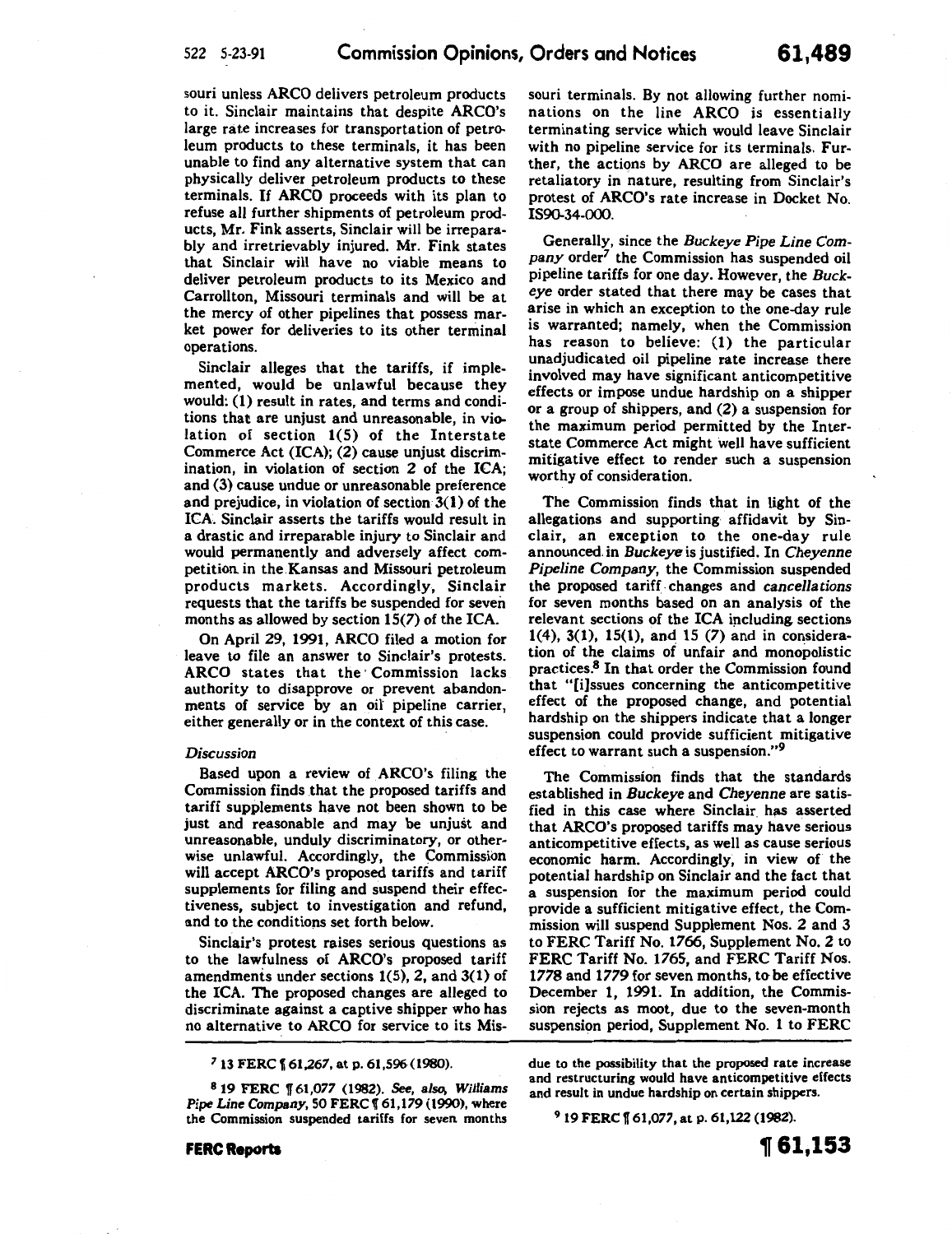souri unless ARCO delivers petroleum products to it. Sinclair maintains that despite ARCO's large rate increases for transportation of petroleum products to these terminals, it has been unable to find any alternative system that can physically deliver petroleum products to these terminals. If ARCO proceeds with its plan to refuse all further shipments of petroleum products, Mr. Fink asserts, Sinclair will be irreparably and irretrievably injured. Mr. Fink states that Sinclair will have no viable means to deliver petroleum products to its Mexico and Carrollton, Missouri terminals and will be at the mercy of other pipelines that possess market power for deliveries to its other terminal operations.

Sinclair alleges that the tariffs, if implemented, would be unlawful because they would: **(1)** result in rates, and terms and conditions that are unjust and unreasonable, in violation of section 1(5) of the Interstate Commerce Act (ICA); (2) cause unjust discrimination, in violation of section 2 of the ICA; and (3) cause undue or unreasonable preference and prejudice, in violation of section 3(1) of the ICA. Sinclair asserts the tariffs would result in a drastic and irreparable injury to Sinclair and would permanently and adversely affect competition in the.Kansas and Missouri petroleum products markets. Accordingly, Sinclair requests that the tariffs be suspended for seven months as allowed by section 15(7) of the ICA.

On April 29, 1991, ARCO filed a motion for leave to file an answer to Sinclair's protests. ARCO states that the· Commission lacks authority to disapprove or prevent abandonments of service by an oil pipeline carrier, either generally or in the context of this case.

#### *Discussion*

Based upon a review of ARCO's filing the Commission finds that the proposed tariffs and tariff supplements have not been shown to be just and reasonable and may be unjust and unreasonable, unduly discriminatory, or otherwise unlawful. Accordingly, the Commission will accept ARCO's proposed tariffs and tariff supplements for filing and suspend their effectiveness, subject to investigation and refund, and to the conditions set forth below.

Sinclair's protest raises serious questions as to the lawfulness of ARCO's proposed tariff amendments under sections 1(5), 2, and 3(1) of the ICA. The proposed changes are alleged to discriminate against a captive shipper who has no alternative to ARCO for service to its Mis-

*<sup>7</sup>*13 FERC f 61,267, at p. 61,596(1980).

8 19 FERC 1T 61,077 (1982). See, *also, Williams Pipe Line Company,* 50 FERC f 61,179 (1990), where the Commission suspended tariffs for seven months

**FERC Reports** 

souri terminals. By not allowing further nominations on the line ARCO is essentially terminating service which would leave Sinclair with no pipeline service for its terminals. Further, the actions by ARCO are alleged to be retaliatory in nature, resulting from Sinclair's protest of ARCO's rate increase in Docket No. IS90-34-000.

Generally, since the *Buckeye Pipe Line Company* order7 the Commission has suspended oil pipeline tariffs for one day. However, the *Buckeye* order stated that there may be cases that arise in which an exception to the one-day rule is warranted; namely, when the Commission has reason to believe: (1) the particular unadjudicated oil pipeline rate increase there involved may have significant anticompetitive effects or impose undue hardship on a shipper or a group of shippers, and (2) a suspension for the maximum period permitted by the Interstate Commerce Act might well have sufficient mitigative effect to render such a suspension worthy of consideration.

The Commission finds that in light of the allegations and supporting affidavit by Sinclair, an exception to. the one-day rule announced. in *Buckeye* is justified. In *Cheyenne Pipeline Company,* the Commission suspended the proposed tariff. changes and *cancellations*  for seven months based on an analysis of the relevant sections of the ICA including sections 1(4), 3(1), 15(1), and 15 (7) and in consideration of the claims of unfair and monopolistic practices.<sup>8</sup> In that order the Commission found that "[i]ssues concerning the anticompetitive effect of the proposed change, and potential hardship on the shippers indicate that a longer suspension could provide sufficient mitigative effect to warrant such a suspension."<sup>9</sup>

The Commission finds that the standards established in *Buckeye* and *Cheyenne* are satisfied in this case where Sinclair. has asserted that ARCO's proposed tariffs may have serious anticompetitive effects, as well as cause serious economic harm. Accordingly, in view of the potential hardship on Sinclair and the fact that a suspension for the maximum period could provide a sufficient mitigative effect, the Commission will suspend Supplement Nos. 2 and 3 to FERC Tariff No. 1766, Supplement No.2 to FERC Tariff No. 1765, and FERC Tariff Nos. 1778 and 1779 for seven months, to be effective December **1,** 1991. In addition, the Commission rejects as moot, due to the seven-month suspension period, Supplement No. 1 to FERC

due to the possibility that the proposed rate increase and restructuring would have anticompetitive effects and result in undue hardship on certain shippers.

9 19 FERC f 61,077, at p. 61,122 (1982).

**1[61,153**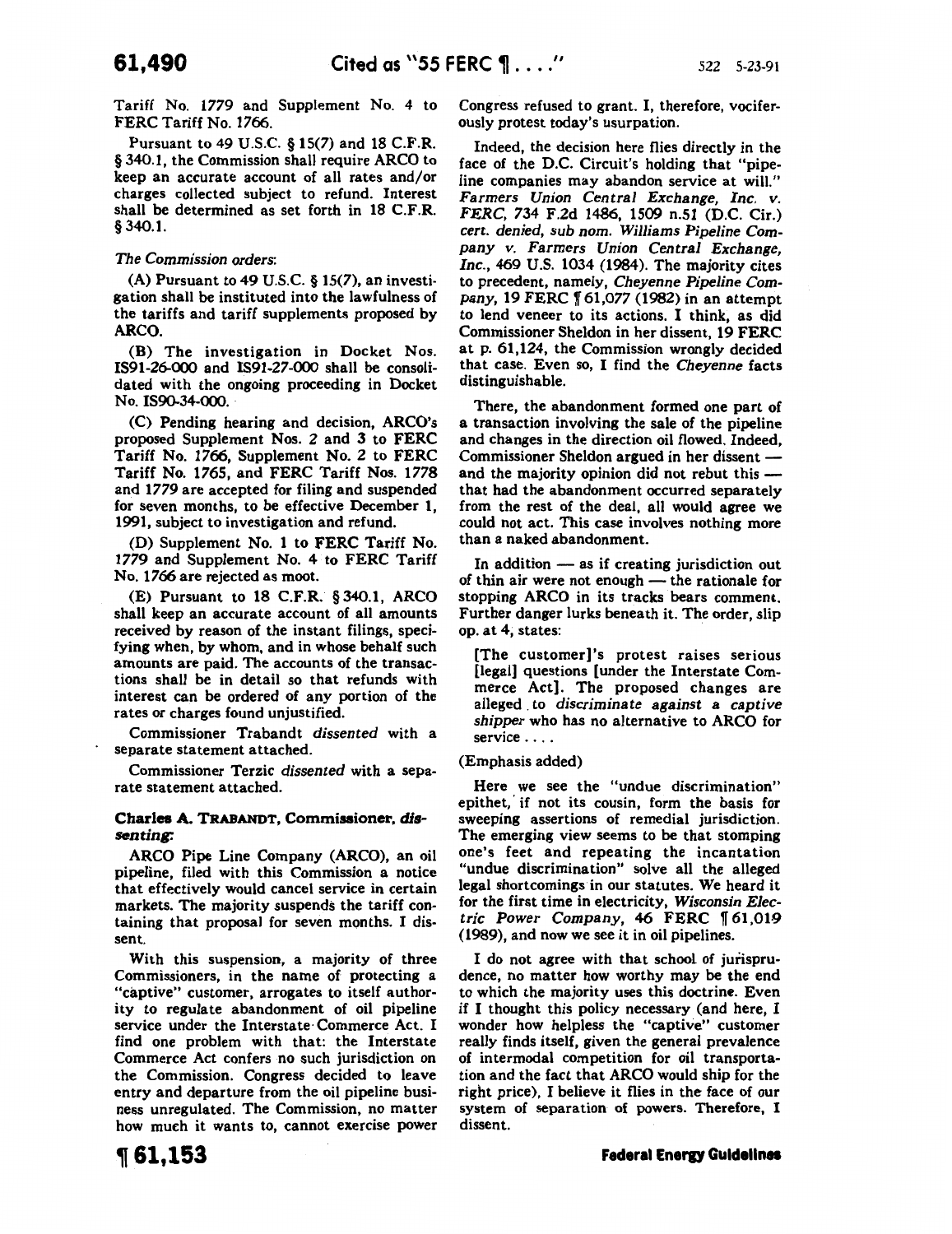Tariff No. 1779 and Supplement No. 4 to FERC Tariff No. 1766.

Pursuant to 49 U.S.C. § 15(7) and 18 C.F.R. § 340.1, the Commission shall require ARCO to keep an accurate account of all rates and/or charges collected subject to refund. Interest shall be determined as set forth in 18 C.F.R. § 340.1.

### *The Commission orders:*

(A) Pursuant to 49 U.S.C. § 15(7), an investigation shall be instituted into the lawfulness of the tariffs and tariff supplements proposed by ARCO.

(B) The investigation in Docket Nos. IS91-26-000 and IS91-27-000 shall be consolidated with the ongoing proceeding in Docket No. IS90-34-000.

(C) Pending hearing and decision, ARCO's proposed Supplement Nos. 2 and 3 to FERC Tariff No. 1766, Supplement No. 2 to FERC Tariff No. 1765, and FERC Tariff Nos. 1778 and 1779 are accepted for filing and suspended for seven months, to be effective December 1, 1991, subject to investigation and refund.

(D) Supplement No. 1 to FERC Tariff No. 1779 and Supplement No. 4 to FERC Tariff No. 1766 are rejected as moot.

(E) Pursuant to 18 C.F.R. § 340.1, ARCO shall keep an accurate account of all amounts received by reason of the instant filings, specifying when, by whom, and in whose behalf such amounts are paid. The accounts of the transactions shall be in detail so that refunds with interest can be ordered of any portion of the rates or charges found unjustified.

Commissioner Trabandt *dissented* with a separate statement attached.

Commissioner Terzic *dissented* with a separate statement attached.

### Charles A. TRABANDT, Commissioner, dissenting:

ARCO Pipe Line Company (ARCO), an oil pipeline, filed with this Commission a notice that effectively would cancel service in certain markets. The majority suspends the tariff containing that proposal for seven months. I dissent.

With this suspension, a majority of three Commissioners, in the name of protecting a "captive" customer, arrogates to itself authority to regulate abandonment of oil pipeline service under the Interstate· Commerce Act. I find one problem with that: the Interstate Commerce Act confers no such jurisdiction on the Commission. Congress decided to leave entry and departure from the oil pipeline business unregulated. The Commission, no matter how much it wants to, cannot exercise power Congress refused to grant. I, therefore, vociferously protest today's usurpation.

Indeed, the decision here flies directly in the face of the D.C. Circuit's holding that "pipeline companies may abandon service at will." *Farmers Union Central Exchange, Inc.* v. *FERC,* 734 F.2d 1486, 1509 n.51 (D.C. Cir.) *cert. denied, sub nom. Williams Pipeline* Company *v. Farmers Union Central Exchange, Inc.,* 469 U.S. 1034 (1984). The majority cites to precedent, namely, Cheyenne *Pipeline* Com*pany, 19 FERC* 161,077 (1982) in an attempt to lend veneer to its actions. I think, as did Commissioner Sheldon in her dissent, 19 FERC at p. 61,124, the Commission wrongly decided that case. Even so, I find the *Cheyenne* facts distinguishable.

There, the abandonment formed one part of a transaction involving the sale of the pipeline and changes in the direction oil flowed. Indeed, Commissioner Sheldon argued in her dissent and the majority opinion did not rebut this that had the abandonment occurred separately from the rest of the deal, all would agree we could not act. This case involves nothing more than a naked abandonment.

In addition  $-$  as if creating jurisdiction out of thin air were not enough  $-$  the rationale for stopping ARCO in its tracks bears comment. Further danger lurks beneath it. The order, slip op. at 4, states:

[The customer]'s protest raises serious [legal] questions [under the Interstate Commerce Act}. The proposed changes are alleged . to *discriminate against a captive shipper* who has no alternative to ARCO for service . . . .

(Emphasis added)

Here we see the "undue discrimination" epithet, if not its cousin, form the basis for sweeping assertions of remedial jurisdiction. The emerging view seems to be that stomping one's feet and repeating the incantation "undue discrimination" solve all the alleged legal shortcomings in our statutes. We heard it for the first time in electricity, *Wisconsin Elec*tric Power Company, 46 FERC 161.019 (1989), and now we see it in oil pipelines.

I do not agree with that school of jurisprudence, no matter how worthy may be the end to which the majority uses this doctrine. Even if I thought this policy necessary (and here, I wonder how helpless the "captive" customer really finds itself, given the general prevalence of intermodal competition for oil transportation and the fact that ARCO would ship for the right price), I believe it flies in the face of our system of separation of powers. Therefore, I dissent.